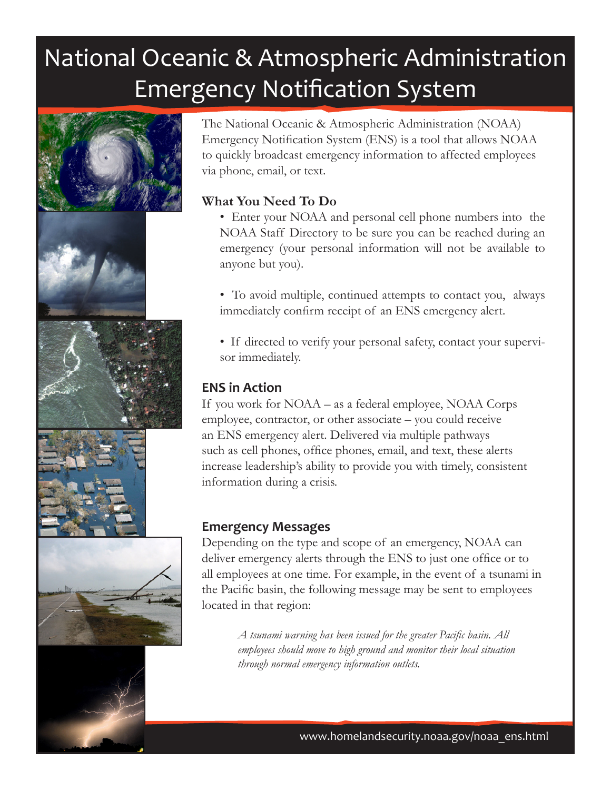# National Oceanic & Atmospheric Administration Emergency Notification System









The National Oceanic & Atmospheric Administration (NOAA) Emergency Notification System (ENS) is a tool that allows NOAA to quickly broadcast emergency information to affected employees via phone, email, or text.

## **What You Need To Do**

• Enter your NOAA and personal cell phone numbers into the NOAA Staff Directory to be sure you can be reached during an emergency (your personal information will not be available to anyone but you).

• To avoid multiple, continued attempts to contact you, always immediately confirm receipt of an ENS emergency alert.

• If directed to verify your personal safety, contact your supervisor immediately.

# **ENS in Action**

If you work for NOAA – as a federal employee, NOAA Corps employee, contractor, or other associate – you could receive an ENS emergency alert. Delivered via multiple pathways such as cell phones, office phones, email, and text, these alerts increase leadership's ability to provide you with timely, consistent information during a crisis.

#### **Emergency Messages**

Depending on the type and scope of an emergency, NOAA can deliver emergency alerts through the ENS to just one office or to all employees at one time. For example, in the event of a tsunami in the Pacific basin, the following message may be sent to employees located in that region:

> *A tsunami warning has been issued for the greater Pacific basin. All employees should move to high ground and monitor their local situation through normal emergency information outlets.*